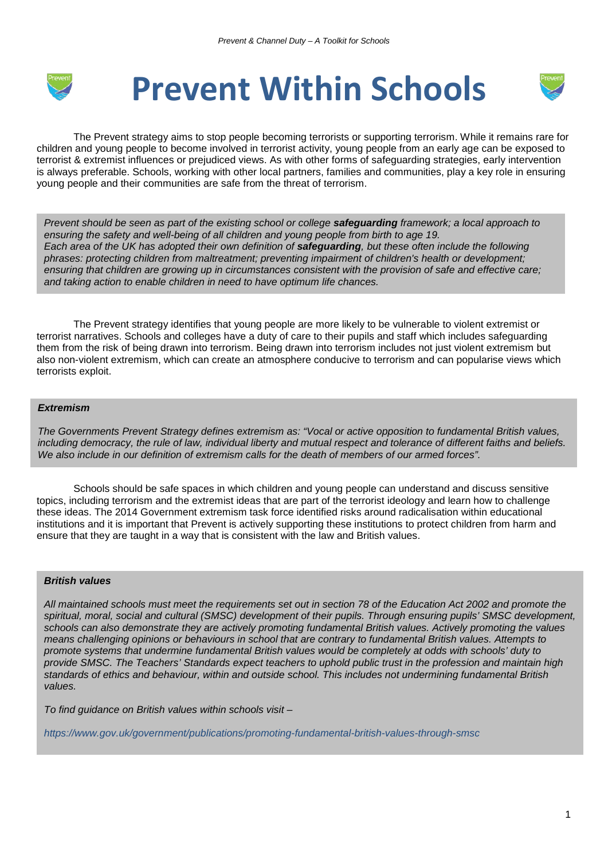

# **Prevent Within Schools**



The Prevent strategy aims to stop people becoming terrorists or supporting terrorism. While it remains rare for children and young people to become involved in terrorist activity, young people from an early age can be exposed to terrorist & extremist influences or prejudiced views. As with other forms of safeguarding strategies, early intervention is always preferable. Schools, working with other local partners, families and communities, play a key role in ensuring young people and their communities are safe from the threat of terrorism.

*Prevent should be seen as part of the existing school or college safeguarding framework; a local approach to ensuring the safety and well-being of all children and young people from birth to age 19. Each area of the UK has adopted their own definition of safeguarding, but these often include the following phrases: protecting children from maltreatment; preventing impairment of children's health or development; ensuring that children are growing up in circumstances consistent with the provision of safe and effective care; and taking action to enable children in need to have optimum life chances.*

The Prevent strategy identifies that young people are more likely to be vulnerable to violent extremist or terrorist narratives. Schools and colleges have a duty of care to their pupils and staff which includes safeguarding them from the risk of being drawn into terrorism. Being drawn into terrorism includes not just violent extremism but also non-violent extremism, which can create an atmosphere conducive to terrorism and can popularise views which terrorists exploit.

## *Extremism*

*The Governments Prevent Strategy defines extremism as: "Vocal or active opposition to fundamental British values, including democracy, the rule of law, individual liberty and mutual respect and tolerance of different faiths and beliefs. We also include in our definition of extremism calls for the death of members of our armed forces".*

Schools should be safe spaces in which children and young people can understand and discuss sensitive topics, including terrorism and the extremist ideas that are part of the terrorist ideology and learn how to challenge these ideas. The 2014 Government extremism task force identified risks around radicalisation within educational institutions and it is important that Prevent is actively supporting these institutions to protect children from harm and ensure that they are taught in a way that is consistent with the law and British values.

## *British values*

*All maintained schools must meet the requirements set out in section 78 of the Education Act 2002 and promote the spiritual, moral, social and cultural (SMSC) development of their pupils. Through ensuring pupils' SMSC development, schools can also demonstrate they are actively promoting fundamental British values. Actively promoting the values means challenging opinions or behaviours in school that are contrary to fundamental British values. Attempts to promote systems that undermine fundamental British values would be completely at odds with schools' duty to provide SMSC. The Teachers' Standards expect teachers to uphold public trust in the profession and maintain high standards of ethics and behaviour, within and outside school. This includes not undermining fundamental British values.*

*To find guidance on British values within schools visit –*

*https://www.gov.uk/government/publications/promoting-fundamental-british-values-through-smsc*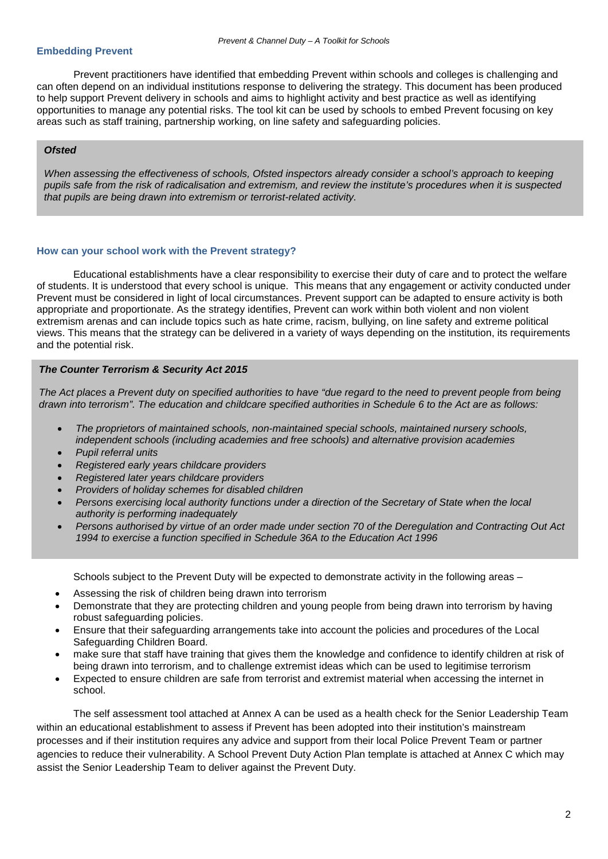### **Embedding Prevent**

Prevent practitioners have identified that embedding Prevent within schools and colleges is challenging and can often depend on an individual institutions response to delivering the strategy. This document has been produced to help support Prevent delivery in schools and aims to highlight activity and best practice as well as identifying opportunities to manage any potential risks. The tool kit can be used by schools to embed Prevent focusing on key areas such as staff training, partnership working, on line safety and safeguarding policies.

## *Ofsted*

*When assessing the effectiveness of schools, Ofsted inspectors already consider a school's approach to keeping pupils safe from the risk of radicalisation and extremism, and review the institute's procedures when it is suspected that pupils are being drawn into extremism or terrorist-related activity.* 

#### **How can your school work with the Prevent strategy?**

Educational establishments have a clear responsibility to exercise their duty of care and to protect the welfare of students. It is understood that every school is unique. This means that any engagement or activity conducted under Prevent must be considered in light of local circumstances. Prevent support can be adapted to ensure activity is both appropriate and proportionate. As the strategy identifies, Prevent can work within both violent and non violent extremism arenas and can include topics such as hate crime, racism, bullying, on line safety and extreme political views. This means that the strategy can be delivered in a variety of ways depending on the institution, its requirements and the potential risk.

### *The Counter Terrorism & Security Act 2015*

*The Act places a Prevent duty on specified authorities to have "due regard to the need to prevent people from being drawn into terrorism". The education and childcare specified authorities in Schedule 6 to the Act are as follows:*

- *The proprietors of maintained schools, non-maintained special schools, maintained nursery schools, independent schools (including academies and free schools) and alternative provision academies*
- *Pupil referral units*
- *Registered early years childcare providers*
- *Registered later years childcare providers*
- *Providers of holiday schemes for disabled children*
- *Persons exercising local authority functions under a direction of the Secretary of State when the local authority is performing inadequately*
- *Persons authorised by virtue of an order made under section 70 of the Deregulation and Contracting Out Act 1994 to exercise a function specified in Schedule 36A to the Education Act 1996*

Schools subject to the Prevent Duty will be expected to demonstrate activity in the following areas –

- Assessing the risk of children being drawn into terrorism
- Demonstrate that they are protecting children and young people from being drawn into terrorism by having robust safeguarding policies.
- Ensure that their safeguarding arrangements take into account the policies and procedures of the Local Safeguarding Children Board.
- make sure that staff have training that gives them the knowledge and confidence to identify children at risk of being drawn into terrorism, and to challenge extremist ideas which can be used to legitimise terrorism
- Expected to ensure children are safe from terrorist and extremist material when accessing the internet in school.

The self assessment tool attached at Annex A can be used as a health check for the Senior Leadership Team within an educational establishment to assess if Prevent has been adopted into their institution's mainstream processes and if their institution requires any advice and support from their local Police Prevent Team or partner agencies to reduce their vulnerability. A School Prevent Duty Action Plan template is attached at Annex C which may assist the Senior Leadership Team to deliver against the Prevent Duty.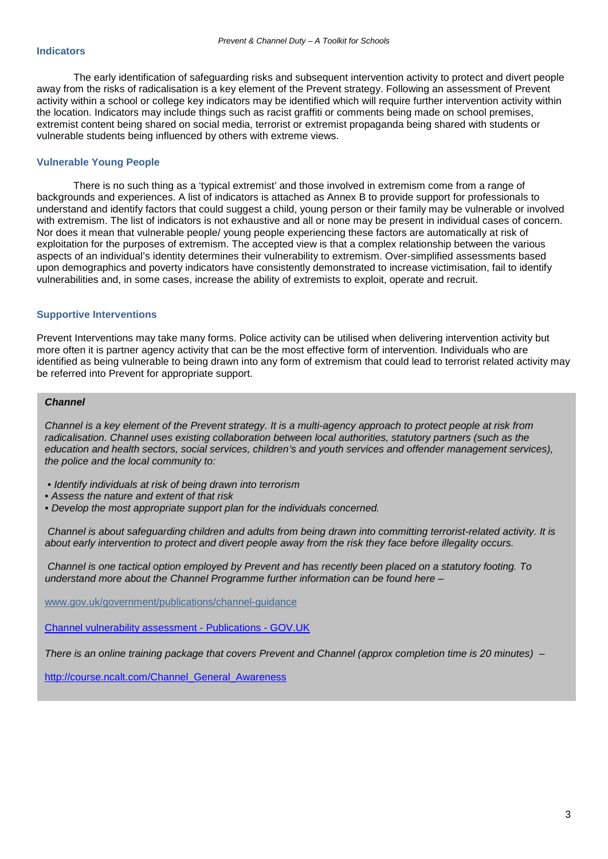The early identification of safeguarding risks and subsequent intervention activity to protect and divert people away from the risks of radicalisation is a key element of the Prevent strategy. Following an assessment of Prevent activity within a school or college key indicators may be identified which will require further intervention activity within the location. Indicators may include things such as racist graffiti or comments being made on school premises, extremist content being shared on social media, terrorist or extremist propaganda being shared with students or vulnerable students being influenced by others with extreme views.

## **Vulnerable Young People**

There is no such thing as a 'typical extremist' and those involved in extremism come from a range of backgrounds and experiences. A list of indicators is attached as Annex B to provide support for professionals to understand and identify factors that could suggest a child, young person or their family may be vulnerable or involved with extremism. The list of indicators is not exhaustive and all or none may be present in individual cases of concern. Nor does it mean that vulnerable people/ young people experiencing these factors are automatically at risk of exploitation for the purposes of extremism. The accepted view is that a complex relationship between the various aspects of an individual's identity determines their vulnerability to extremism. Over-simplified assessments based upon demographics and poverty indicators have consistently demonstrated to increase victimisation, fail to identify vulnerabilities and, in some cases, increase the ability of extremists to exploit, operate and recruit.

## **Supportive Interventions**

Prevent Interventions may take many forms. Police activity can be utilised when delivering intervention activity but more often it is partner agency activity that can be the most effective form of intervention. Individuals who are identified as being vulnerable to being drawn into any form of extremism that could lead to terrorist related activity may be referred into Prevent for appropriate support.

## *Channel*

*Channel is a key element of the Prevent strategy. It is a multi-agency approach to protect people at risk from radicalisation. Channel uses existing collaboration between local authorities, statutory partners (such as the education and health sectors, social services, children's and youth services and offender management services), the police and the local community to:*

- *Identify individuals at risk of being drawn into terrorism*
- *Assess the nature and extent of that risk*
- *Develop the most appropriate support plan for the individuals concerned.*

*Channel is about safeguarding children and adults from being drawn into committing terrorist-related activity. It is about early intervention to protect and divert people away from the risk they face before illegality occurs.*

*Channel is one tactical option employed by Prevent and has recently been placed on a statutory footing. To understand more about the Channel Programme further information can be found here –*

[www.gov.uk/government/publications/channel-guidance](https://www.gov.uk/government/publications/channel-guidance)

[Channel vulnerability assessment -](https://www.gov.uk/government/publications/channel-vulnerability-assessment) Publications - GOV.UK

*There is an online training package that covers Prevent and Channel (approx completion time is 20 minutes) –*

[http://course.ncalt.com/Channel\\_General\\_Awareness](http://course.ncalt.com/Channel_General_Awareness)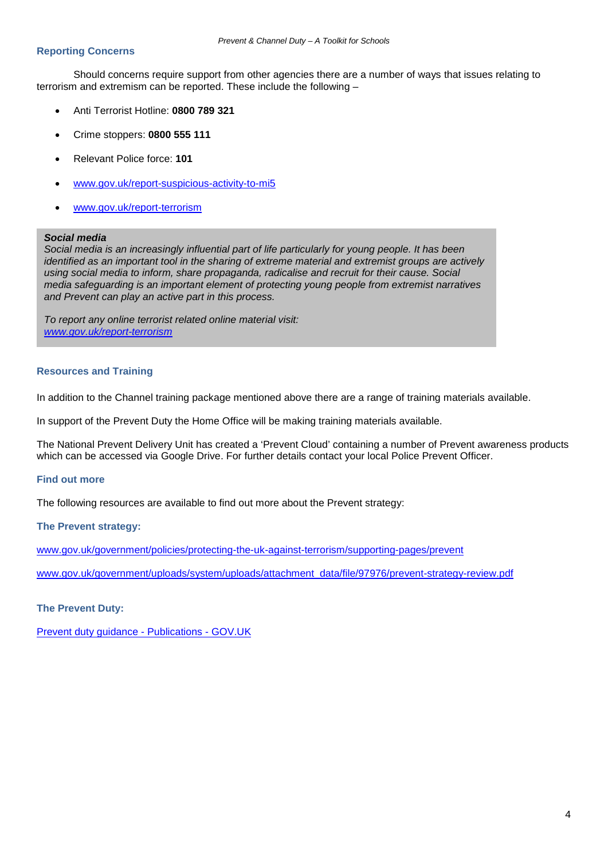## **Reporting Concerns**

Should concerns require support from other agencies there are a number of ways that issues relating to terrorism and extremism can be reported. These include the following –

- Anti Terrorist Hotline: **0800 789 321**
- Crime stoppers: **0800 555 111**
- Relevant Police force: **101**
- [www.gov.uk/report-suspicious-activity-to-mi5](http://www.gov.uk/report-suspicious-activity-to-mi5)
- [www.gov.uk/report-terrorism](http://www.gov.uk/report-terrorism)

### *Social media*

*Social media is an increasingly influential part of life particularly for young people. It has been identified as an important tool in the sharing of extreme material and extremist groups are actively using social media to inform, share propaganda, radicalise and recruit for their cause. Social media safeguarding is an important element of protecting young people from extremist narratives and Prevent can play an active part in this process.* 

*To report any online terrorist related online material visit: [www.gov.uk/report-terrorism](http://www.gov.uk/report-terrorism)*

### **Resources and Training**

In addition to the Channel training package mentioned above there are a range of training materials available.

In support of the Prevent Duty the Home Office will be making training materials available.

The National Prevent Delivery Unit has created a 'Prevent Cloud' containing a number of Prevent awareness products which can be accessed via Google Drive. For further details contact your local Police Prevent Officer.

### **Find out more**

The following resources are available to find out more about the Prevent strategy:

### **The Prevent strategy:**

[www.gov.uk/government/policies/protecting-the-uk-against-terrorism/supporting-pages/prevent](http://www.gov.uk/government/policies/protecting-the-uk-against-terrorism/supporting-pages/prevent)

[www.gov.uk/government/uploads/system/uploads/attachment\\_data/file/97976/prevent-strategy-review.pdf](https://www.gov.uk/government/uploads/system/uploads/attachment_data/file/97976/prevent-strategy-review.pdf)

## **The Prevent Duty:**

[Prevent duty guidance -](https://www.gov.uk/government/publications/prevent-duty-guidance) Publications - GOV.UK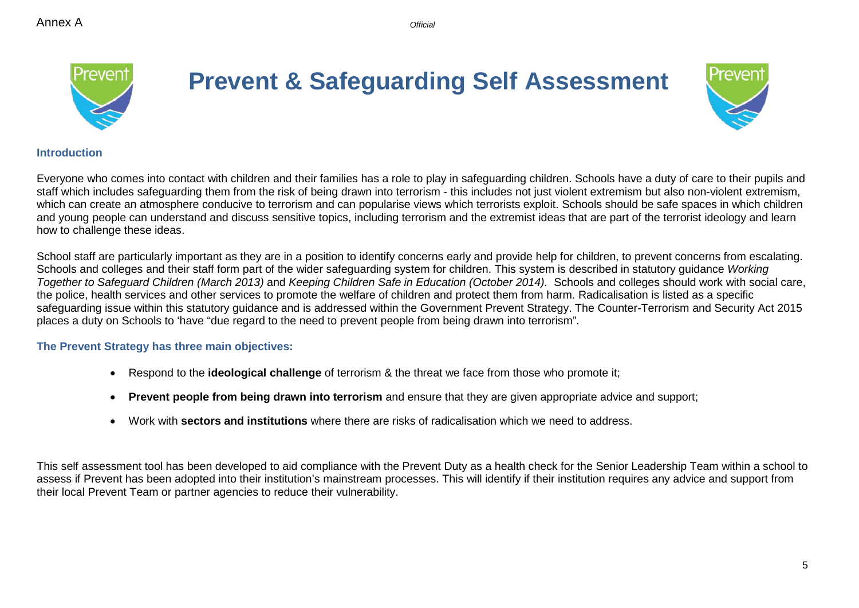

## **Prevent & Safeguarding Self Assessment**



## **Introduction**

Everyone who comes into contact with children and their families has a role to play in safeguarding children. Schools have a duty of care to their pupils and staff which includes safeguarding them from the risk of being drawn into terrorism - this includes not just violent extremism but also non-violent extremism, which can create an atmosphere conducive to terrorism and can popularise views which terrorists exploit. Schools should be safe spaces in which children and young people can understand and discuss sensitive topics, including terrorism and the extremist ideas that are part of the terrorist ideology and learn how to challenge these ideas.

School staff are particularly important as they are in a position to identify concerns early and provide help for children, to prevent concerns from escalating. Schools and colleges and their staff form part of the wider safeguarding system for children. This system is described in statutory guidance *Working Together to Safeguard Children (March 2013)* and *Keeping Children Safe in Education (October 2014).* Schools and colleges should work with social care, the police, health services and other services to promote the welfare of children and protect them from harm. Radicalisation is listed as a specific safeguarding issue within this statutory guidance and is addressed within the Government Prevent Strategy. The Counter-Terrorism and Security Act 2015 places a duty on Schools to 'have "due regard to the need to prevent people from being drawn into terrorism".

## **The Prevent Strategy has three main objectives:**

- Respond to the **ideological challenge** of terrorism & the threat we face from those who promote it;
- **Prevent people from being drawn into terrorism** and ensure that they are given appropriate advice and support;
- Work with **sectors and institutions** where there are risks of radicalisation which we need to address.

This self assessment tool has been developed to aid compliance with the Prevent Duty as a health check for the Senior Leadership Team within a school to assess if Prevent has been adopted into their institution's mainstream processes. This will identify if their institution requires any advice and support from their local Prevent Team or partner agencies to reduce their vulnerability.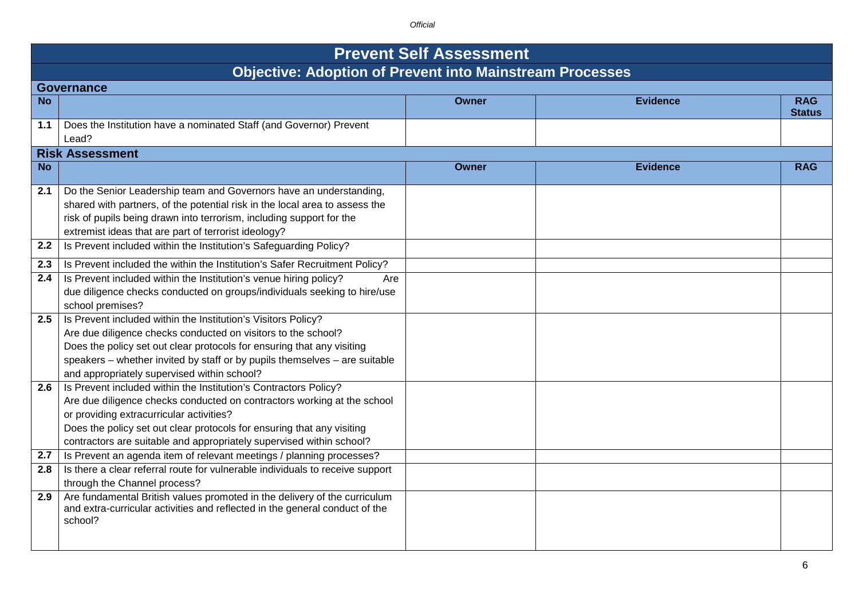|           | <b>Prevent Self Assessment</b><br><b>Objective: Adoption of Prevent into Mainstream Processes</b>                                                                                                                                                                                                                                         |              |                 |                             |  |  |  |
|-----------|-------------------------------------------------------------------------------------------------------------------------------------------------------------------------------------------------------------------------------------------------------------------------------------------------------------------------------------------|--------------|-----------------|-----------------------------|--|--|--|
|           |                                                                                                                                                                                                                                                                                                                                           |              |                 |                             |  |  |  |
|           | <b>Governance</b>                                                                                                                                                                                                                                                                                                                         |              |                 |                             |  |  |  |
| <b>No</b> |                                                                                                                                                                                                                                                                                                                                           | <b>Owner</b> | <b>Evidence</b> | <b>RAG</b><br><b>Status</b> |  |  |  |
| 1.1       | Does the Institution have a nominated Staff (and Governor) Prevent<br>Lead?                                                                                                                                                                                                                                                               |              |                 |                             |  |  |  |
|           | <b>Risk Assessment</b>                                                                                                                                                                                                                                                                                                                    |              |                 |                             |  |  |  |
| <b>No</b> |                                                                                                                                                                                                                                                                                                                                           | <b>Owner</b> | <b>Evidence</b> | <b>RAG</b>                  |  |  |  |
| 2.1       | Do the Senior Leadership team and Governors have an understanding,<br>shared with partners, of the potential risk in the local area to assess the<br>risk of pupils being drawn into terrorism, including support for the<br>extremist ideas that are part of terrorist ideology?                                                         |              |                 |                             |  |  |  |
| 2.2       | Is Prevent included within the Institution's Safeguarding Policy?                                                                                                                                                                                                                                                                         |              |                 |                             |  |  |  |
| 2.3       | Is Prevent included the within the Institution's Safer Recruitment Policy?                                                                                                                                                                                                                                                                |              |                 |                             |  |  |  |
| 2.4       | Is Prevent included within the Institution's venue hiring policy?<br>Are<br>due diligence checks conducted on groups/individuals seeking to hire/use<br>school premises?                                                                                                                                                                  |              |                 |                             |  |  |  |
| 2.5       | Is Prevent included within the Institution's Visitors Policy?<br>Are due diligence checks conducted on visitors to the school?<br>Does the policy set out clear protocols for ensuring that any visiting<br>speakers - whether invited by staff or by pupils themselves - are suitable<br>and appropriately supervised within school?     |              |                 |                             |  |  |  |
| 2.6       | Is Prevent included within the Institution's Contractors Policy?<br>Are due diligence checks conducted on contractors working at the school<br>or providing extracurricular activities?<br>Does the policy set out clear protocols for ensuring that any visiting<br>contractors are suitable and appropriately supervised within school? |              |                 |                             |  |  |  |
| 2.7       | Is Prevent an agenda item of relevant meetings / planning processes?                                                                                                                                                                                                                                                                      |              |                 |                             |  |  |  |
| 2.8       | Is there a clear referral route for vulnerable individuals to receive support<br>through the Channel process?                                                                                                                                                                                                                             |              |                 |                             |  |  |  |
| 2.9       | Are fundamental British values promoted in the delivery of the curriculum<br>and extra-curricular activities and reflected in the general conduct of the<br>school?                                                                                                                                                                       |              |                 |                             |  |  |  |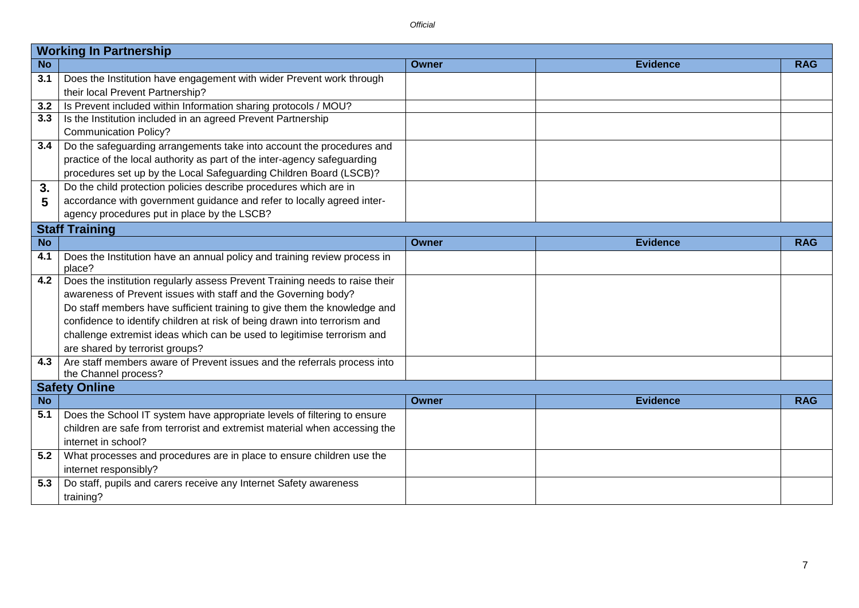|           | <b>Working In Partnership</b>                                               |              |                 |            |  |  |
|-----------|-----------------------------------------------------------------------------|--------------|-----------------|------------|--|--|
| <b>No</b> |                                                                             | Owner        | <b>Evidence</b> | <b>RAG</b> |  |  |
| 3.1       | Does the Institution have engagement with wider Prevent work through        |              |                 |            |  |  |
|           | their local Prevent Partnership?                                            |              |                 |            |  |  |
| 3.2       | Is Prevent included within Information sharing protocols / MOU?             |              |                 |            |  |  |
| 3.3       | Is the Institution included in an agreed Prevent Partnership                |              |                 |            |  |  |
|           | <b>Communication Policy?</b>                                                |              |                 |            |  |  |
| 3.4       | Do the safeguarding arrangements take into account the procedures and       |              |                 |            |  |  |
|           | practice of the local authority as part of the inter-agency safeguarding    |              |                 |            |  |  |
|           | procedures set up by the Local Safeguarding Children Board (LSCB)?          |              |                 |            |  |  |
| 3.        | Do the child protection policies describe procedures which are in           |              |                 |            |  |  |
| 5         | accordance with government guidance and refer to locally agreed inter-      |              |                 |            |  |  |
|           | agency procedures put in place by the LSCB?                                 |              |                 |            |  |  |
|           | <b>Staff Training</b>                                                       |              |                 |            |  |  |
| <b>No</b> |                                                                             | Owner        | <b>Evidence</b> | <b>RAG</b> |  |  |
| 4.1       | Does the Institution have an annual policy and training review process in   |              |                 |            |  |  |
|           | place?                                                                      |              |                 |            |  |  |
| 4.2       | Does the institution regularly assess Prevent Training needs to raise their |              |                 |            |  |  |
|           | awareness of Prevent issues with staff and the Governing body?              |              |                 |            |  |  |
|           | Do staff members have sufficient training to give them the knowledge and    |              |                 |            |  |  |
|           | confidence to identify children at risk of being drawn into terrorism and   |              |                 |            |  |  |
|           | challenge extremist ideas which can be used to legitimise terrorism and     |              |                 |            |  |  |
|           | are shared by terrorist groups?                                             |              |                 |            |  |  |
| 4.3       | Are staff members aware of Prevent issues and the referrals process into    |              |                 |            |  |  |
|           | the Channel process?                                                        |              |                 |            |  |  |
|           | <b>Safety Online</b>                                                        |              |                 |            |  |  |
| <b>No</b> |                                                                             | <b>Owner</b> | <b>Evidence</b> | <b>RAG</b> |  |  |
| 5.1       | Does the School IT system have appropriate levels of filtering to ensure    |              |                 |            |  |  |
|           | children are safe from terrorist and extremist material when accessing the  |              |                 |            |  |  |
|           | internet in school?                                                         |              |                 |            |  |  |
| 5.2       | What processes and procedures are in place to ensure children use the       |              |                 |            |  |  |
|           | internet responsibly?                                                       |              |                 |            |  |  |
| 5.3       | Do staff, pupils and carers receive any Internet Safety awareness           |              |                 |            |  |  |
|           | training?                                                                   |              |                 |            |  |  |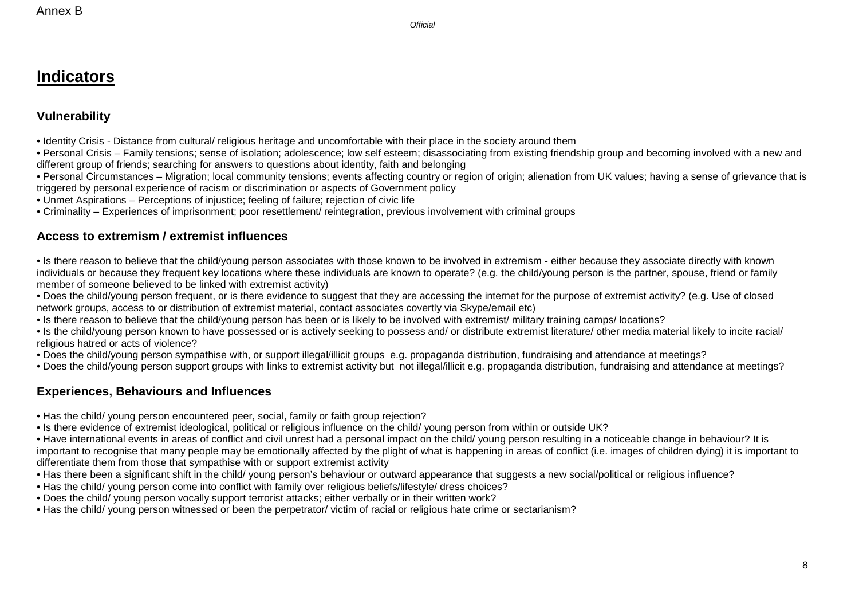## **Indicators**

## **Vulnerability**

• Identity Crisis - Distance from cultural/ religious heritage and uncomfortable with their place in the society around them

• Personal Crisis – Family tensions; sense of isolation; adolescence; low self esteem; disassociating from existing friendship group and becoming involved with a new and different group of friends; searching for answers to questions about identity, faith and belonging

• Personal Circumstances – Migration; local community tensions; events affecting country or region of origin; alienation from UK values; having a sense of grievance that is triggered by personal experience of racism or discrimination or aspects of Government policy

• Unmet Aspirations – Perceptions of injustice; feeling of failure; rejection of civic life

• Criminality – Experiences of imprisonment; poor resettlement/ reintegration, previous involvement with criminal groups

## **Access to extremism / extremist influences**

• Is there reason to believe that the child/young person associates with those known to be involved in extremism - either because they associate directly with known individuals or because they frequent key locations where these individuals are known to operate? (e.g. the child/young person is the partner, spouse, friend or family member of someone believed to be linked with extremist activity)

• Does the child/young person frequent, or is there evidence to suggest that they are accessing the internet for the purpose of extremist activity? (e.g. Use of closed network groups, access to or distribution of extremist material, contact associates covertly via Skype/email etc)

• Is there reason to believe that the child/young person has been or is likely to be involved with extremist/ military training camps/ locations?

• Is the child/young person known to have possessed or is actively seeking to possess and/ or distribute extremist literature/ other media material likely to incite racial/ religious hatred or acts of violence?

• Does the child/young person sympathise with, or support illegal/illicit groups e.g. propaganda distribution, fundraising and attendance at meetings?

• Does the child/young person support groups with links to extremist activity but not illegal/illicit e.g. propaganda distribution, fundraising and attendance at meetings?

## **Experiences, Behaviours and Influences**

• Has the child/ young person encountered peer, social, family or faith group rejection?

• Is there evidence of extremist ideological, political or religious influence on the child/ young person from within or outside UK?

• Have international events in areas of conflict and civil unrest had a personal impact on the child/ young person resulting in a noticeable change in behaviour? It is important to recognise that many people may be emotionally affected by the plight of what is happening in areas of conflict (i.e. images of children dying) it is important to differentiate them from those that sympathise with or support extremist activity

- Has there been a significant shift in the child/ young person's behaviour or outward appearance that suggests a new social/political or religious influence?
- Has the child/ young person come into conflict with family over religious beliefs/lifestyle/ dress choices?
- Does the child/ young person vocally support terrorist attacks; either verbally or in their written work?
- Has the child/ young person witnessed or been the perpetrator/ victim of racial or religious hate crime or sectarianism?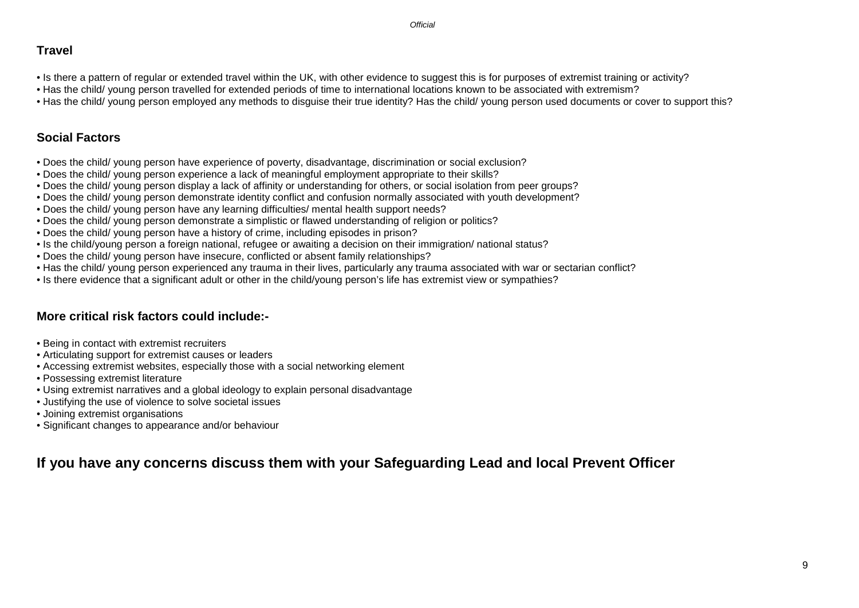## **Travel**

- Is there a pattern of regular or extended travel within the UK, with other evidence to suggest this is for purposes of extremist training or activity?
- Has the child/ young person travelled for extended periods of time to international locations known to be associated with extremism?
- Has the child/ young person employed any methods to disguise their true identity? Has the child/ young person used documents or cover to support this?

## **Social Factors**

- Does the child/ young person have experience of poverty, disadvantage, discrimination or social exclusion?
- Does the child/ young person experience a lack of meaningful employment appropriate to their skills?
- Does the child/ young person display a lack of affinity or understanding for others, or social isolation from peer groups?
- Does the child/ young person demonstrate identity conflict and confusion normally associated with youth development?
- Does the child/ young person have any learning difficulties/ mental health support needs?
- Does the child/ young person demonstrate a simplistic or flawed understanding of religion or politics?
- Does the child/ young person have a history of crime, including episodes in prison?
- Is the child/young person a foreign national, refugee or awaiting a decision on their immigration/ national status?
- Does the child/ young person have insecure, conflicted or absent family relationships?
- Has the child/ young person experienced any trauma in their lives, particularly any trauma associated with war or sectarian conflict?
- Is there evidence that a significant adult or other in the child/young person's life has extremist view or sympathies?

## **More critical risk factors could include:-**

- Being in contact with extremist recruiters
- Articulating support for extremist causes or leaders
- Accessing extremist websites, especially those with a social networking element
- Possessing extremist literature
- Using extremist narratives and a global ideology to explain personal disadvantage
- Justifying the use of violence to solve societal issues
- Joining extremist organisations
- Significant changes to appearance and/or behaviour

## **If you have any concerns discuss them with your Safeguarding Lead and local Prevent Officer**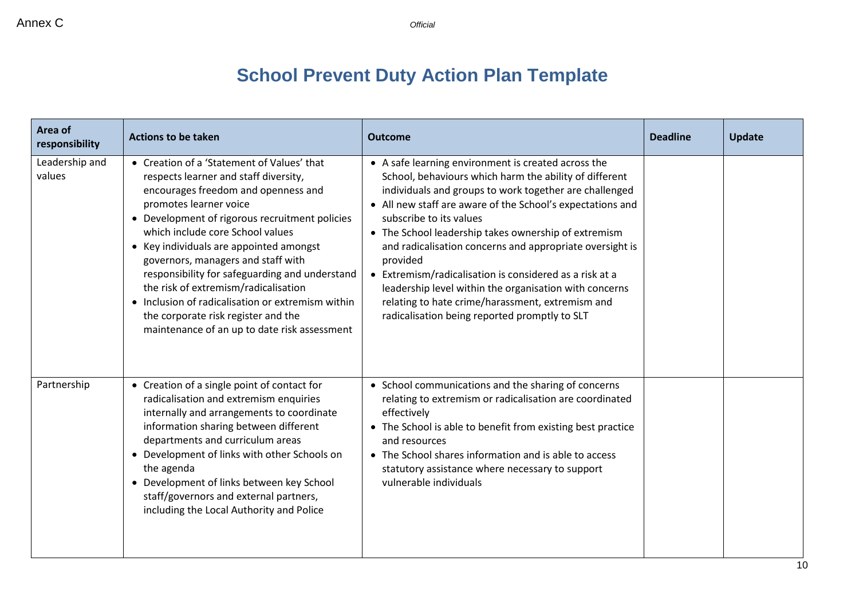## **School Prevent Duty Action Plan Template**

| Area of<br>responsibility | <b>Actions to be taken</b>                                                                                                                                                                                                                                                                                                                                                                                                                                                                                                                                        | <b>Outcome</b>                                                                                                                                                                                                                                                                                                                                                                                                                                                                                                                                                                                                             | <b>Deadline</b> | <b>Update</b> |
|---------------------------|-------------------------------------------------------------------------------------------------------------------------------------------------------------------------------------------------------------------------------------------------------------------------------------------------------------------------------------------------------------------------------------------------------------------------------------------------------------------------------------------------------------------------------------------------------------------|----------------------------------------------------------------------------------------------------------------------------------------------------------------------------------------------------------------------------------------------------------------------------------------------------------------------------------------------------------------------------------------------------------------------------------------------------------------------------------------------------------------------------------------------------------------------------------------------------------------------------|-----------------|---------------|
| Leadership and<br>values  | • Creation of a 'Statement of Values' that<br>respects learner and staff diversity,<br>encourages freedom and openness and<br>promotes learner voice<br>• Development of rigorous recruitment policies<br>which include core School values<br>• Key individuals are appointed amongst<br>governors, managers and staff with<br>responsibility for safeguarding and understand<br>the risk of extremism/radicalisation<br>• Inclusion of radicalisation or extremism within<br>the corporate risk register and the<br>maintenance of an up to date risk assessment | • A safe learning environment is created across the<br>School, behaviours which harm the ability of different<br>individuals and groups to work together are challenged<br>• All new staff are aware of the School's expectations and<br>subscribe to its values<br>• The School leadership takes ownership of extremism<br>and radicalisation concerns and appropriate oversight is<br>provided<br>• Extremism/radicalisation is considered as a risk at a<br>leadership level within the organisation with concerns<br>relating to hate crime/harassment, extremism and<br>radicalisation being reported promptly to SLT |                 |               |
| Partnership               | • Creation of a single point of contact for<br>radicalisation and extremism enquiries<br>internally and arrangements to coordinate<br>information sharing between different<br>departments and curriculum areas<br>• Development of links with other Schools on<br>the agenda<br>• Development of links between key School<br>staff/governors and external partners,<br>including the Local Authority and Police                                                                                                                                                  | • School communications and the sharing of concerns<br>relating to extremism or radicalisation are coordinated<br>effectively<br>• The School is able to benefit from existing best practice<br>and resources<br>• The School shares information and is able to access<br>statutory assistance where necessary to support<br>vulnerable individuals                                                                                                                                                                                                                                                                        |                 |               |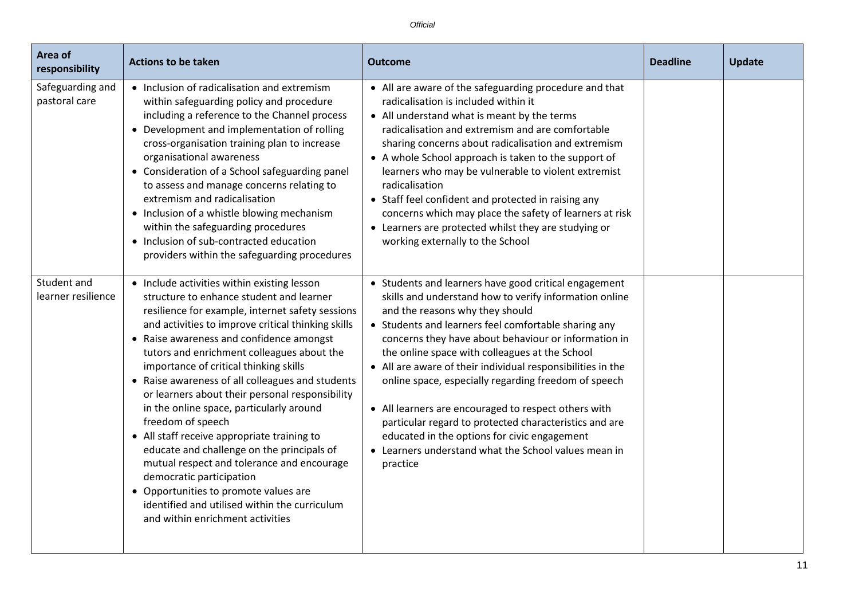| Area of<br>responsibility         | <b>Actions to be taken</b>                                                                                                                                                                                                                                                                                                                                                                                                                                                                                                                                                                                                                                                                                                                                                                                         | <b>Outcome</b>                                                                                                                                                                                                                                                                                                                                                                                                                                                                                                                                                                                                                                                                    | <b>Deadline</b> | <b>Update</b> |
|-----------------------------------|--------------------------------------------------------------------------------------------------------------------------------------------------------------------------------------------------------------------------------------------------------------------------------------------------------------------------------------------------------------------------------------------------------------------------------------------------------------------------------------------------------------------------------------------------------------------------------------------------------------------------------------------------------------------------------------------------------------------------------------------------------------------------------------------------------------------|-----------------------------------------------------------------------------------------------------------------------------------------------------------------------------------------------------------------------------------------------------------------------------------------------------------------------------------------------------------------------------------------------------------------------------------------------------------------------------------------------------------------------------------------------------------------------------------------------------------------------------------------------------------------------------------|-----------------|---------------|
| Safeguarding and<br>pastoral care | • Inclusion of radicalisation and extremism<br>within safeguarding policy and procedure<br>including a reference to the Channel process<br>• Development and implementation of rolling<br>cross-organisation training plan to increase<br>organisational awareness<br>• Consideration of a School safeguarding panel<br>to assess and manage concerns relating to<br>extremism and radicalisation<br>• Inclusion of a whistle blowing mechanism<br>within the safeguarding procedures<br>• Inclusion of sub-contracted education<br>providers within the safeguarding procedures                                                                                                                                                                                                                                   | • All are aware of the safeguarding procedure and that<br>radicalisation is included within it<br>• All understand what is meant by the terms<br>radicalisation and extremism and are comfortable<br>sharing concerns about radicalisation and extremism<br>• A whole School approach is taken to the support of<br>learners who may be vulnerable to violent extremist<br>radicalisation<br>• Staff feel confident and protected in raising any<br>concerns which may place the safety of learners at risk<br>• Learners are protected whilst they are studying or<br>working externally to the School                                                                           |                 |               |
| Student and<br>learner resilience | • Include activities within existing lesson<br>structure to enhance student and learner<br>resilience for example, internet safety sessions<br>and activities to improve critical thinking skills<br>• Raise awareness and confidence amongst<br>tutors and enrichment colleagues about the<br>importance of critical thinking skills<br>• Raise awareness of all colleagues and students<br>or learners about their personal responsibility<br>in the online space, particularly around<br>freedom of speech<br>• All staff receive appropriate training to<br>educate and challenge on the principals of<br>mutual respect and tolerance and encourage<br>democratic participation<br>• Opportunities to promote values are<br>identified and utilised within the curriculum<br>and within enrichment activities | • Students and learners have good critical engagement<br>skills and understand how to verify information online<br>and the reasons why they should<br>• Students and learners feel comfortable sharing any<br>concerns they have about behaviour or information in<br>the online space with colleagues at the School<br>• All are aware of their individual responsibilities in the<br>online space, especially regarding freedom of speech<br>• All learners are encouraged to respect others with<br>particular regard to protected characteristics and are<br>educated in the options for civic engagement<br>• Learners understand what the School values mean in<br>practice |                 |               |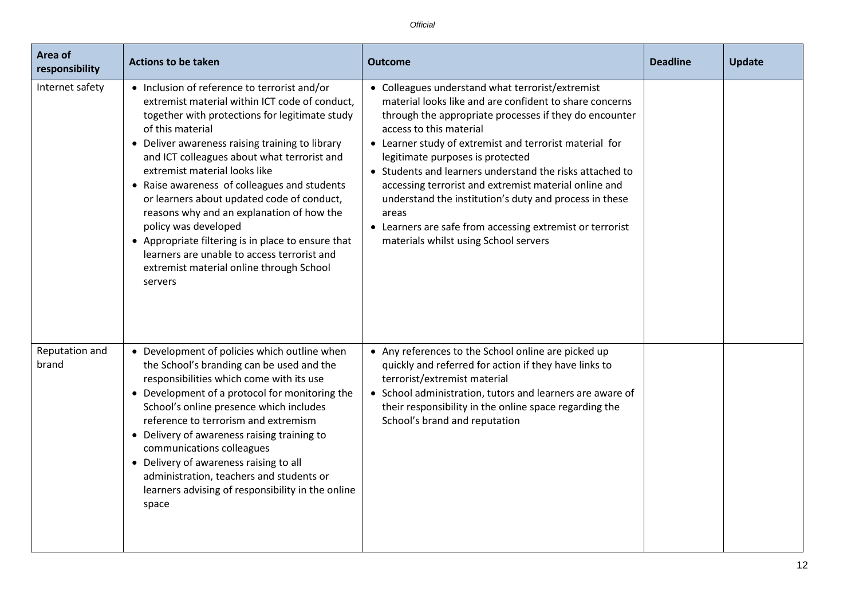| Area of<br>responsibility | <b>Actions to be taken</b>                                                                                                                                                                                                                                                                                                                                                                                                                                                                                                                                                                                                             | <b>Outcome</b>                                                                                                                                                                                                                                                                                                                                                                                                                                                                                                                                                                                | <b>Deadline</b> | <b>Update</b> |
|---------------------------|----------------------------------------------------------------------------------------------------------------------------------------------------------------------------------------------------------------------------------------------------------------------------------------------------------------------------------------------------------------------------------------------------------------------------------------------------------------------------------------------------------------------------------------------------------------------------------------------------------------------------------------|-----------------------------------------------------------------------------------------------------------------------------------------------------------------------------------------------------------------------------------------------------------------------------------------------------------------------------------------------------------------------------------------------------------------------------------------------------------------------------------------------------------------------------------------------------------------------------------------------|-----------------|---------------|
| Internet safety           | • Inclusion of reference to terrorist and/or<br>extremist material within ICT code of conduct,<br>together with protections for legitimate study<br>of this material<br>• Deliver awareness raising training to library<br>and ICT colleagues about what terrorist and<br>extremist material looks like<br>• Raise awareness of colleagues and students<br>or learners about updated code of conduct,<br>reasons why and an explanation of how the<br>policy was developed<br>• Appropriate filtering is in place to ensure that<br>learners are unable to access terrorist and<br>extremist material online through School<br>servers | • Colleagues understand what terrorist/extremist<br>material looks like and are confident to share concerns<br>through the appropriate processes if they do encounter<br>access to this material<br>• Learner study of extremist and terrorist material for<br>legitimate purposes is protected<br>• Students and learners understand the risks attached to<br>accessing terrorist and extremist material online and<br>understand the institution's duty and process in these<br>areas<br>• Learners are safe from accessing extremist or terrorist<br>materials whilst using School servers |                 |               |
| Reputation and<br>brand   | • Development of policies which outline when<br>the School's branding can be used and the<br>responsibilities which come with its use<br>• Development of a protocol for monitoring the<br>School's online presence which includes<br>reference to terrorism and extremism<br>• Delivery of awareness raising training to<br>communications colleagues<br>• Delivery of awareness raising to all<br>administration, teachers and students or<br>learners advising of responsibility in the online<br>space                                                                                                                             | • Any references to the School online are picked up<br>quickly and referred for action if they have links to<br>terrorist/extremist material<br>• School administration, tutors and learners are aware of<br>their responsibility in the online space regarding the<br>School's brand and reputation                                                                                                                                                                                                                                                                                          |                 |               |